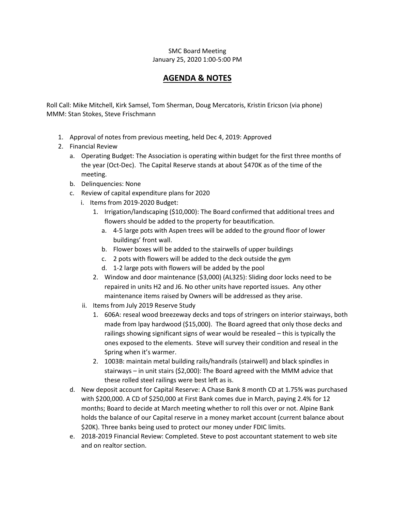## SMC Board Meeting January 25, 2020 1:00-5:00 PM

## **AGENDA & NOTES**

Roll Call: Mike Mitchell, Kirk Samsel, Tom Sherman, Doug Mercatoris, Kristin Ericson (via phone) MMM: Stan Stokes, Steve Frischmann

- 1. Approval of notes from previous meeting, held Dec 4, 2019: Approved
- 2. Financial Review
	- a. Operating Budget: The Association is operating within budget for the first three months of the year (Oct-Dec). The Capital Reserve stands at about \$470K as of the time of the meeting.
	- b. Delinquencies: None
	- c. Review of capital expenditure plans for 2020
		- i. Items from 2019-2020 Budget:
			- 1. Irrigation/landscaping (\$10,000): The Board confirmed that additional trees and flowers should be added to the property for beautification.
				- a. 4-5 large pots with Aspen trees will be added to the ground floor of lower buildings' front wall.
				- b. Flower boxes will be added to the stairwells of upper buildings
				- c. 2 pots with flowers will be added to the deck outside the gym
				- d. 1-2 large pots with flowers will be added by the pool
			- 2. Window and door maintenance (\$3,000) (AL325): Sliding door locks need to be repaired in units H2 and J6. No other units have reported issues. Any other maintenance items raised by Owners will be addressed as they arise.
		- ii. Items from July 2019 Reserve Study
			- 1. 606A: reseal wood breezeway decks and tops of stringers on interior stairways, both made from lpay hardwood (\$15,000). The Board agreed that only those decks and railings showing significant signs of wear would be resealed – this is typically the ones exposed to the elements. Steve will survey their condition and reseal in the Spring when it's warmer.
			- 2. 1003B: maintain metal building rails/handrails (stairwell) and black spindles in stairways – in unit stairs (\$2,000): The Board agreed with the MMM advice that these rolled steel railings were best left as is.
	- d. New deposit account for Capital Reserve: A Chase Bank 8 month CD at 1.75% was purchased with \$200,000. A CD of \$250,000 at First Bank comes due in March, paying 2.4% for 12 months; Board to decide at March meeting whether to roll this over or not. Alpine Bank holds the balance of our Capital reserve in a money market account (current balance about \$20K). Three banks being used to protect our money under FDIC limits.
	- e. 2018-2019 Financial Review: Completed. Steve to post accountant statement to web site and on realtor section.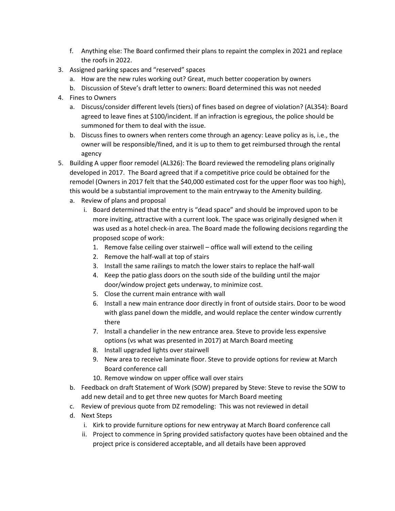- f. Anything else: The Board confirmed their plans to repaint the complex in 2021 and replace the roofs in 2022.
- 3. Assigned parking spaces and "reserved" spaces
	- a. How are the new rules working out? Great, much better cooperation by owners
	- b. Discussion of Steve's draft letter to owners: Board determined this was not needed
- 4. Fines to Owners
	- a. Discuss/consider different levels (tiers) of fines based on degree of violation? (AL354): Board agreed to leave fines at \$100/incident. If an infraction is egregious, the police should be summoned for them to deal with the issue.
	- b. Discuss fines to owners when renters come through an agency: Leave policy as is, i.e., the owner will be responsible/fined, and it is up to them to get reimbursed through the rental agency
- 5. Building A upper floor remodel (AL326): The Board reviewed the remodeling plans originally developed in 2017. The Board agreed that if a competitive price could be obtained for the remodel (Owners in 2017 felt that the \$40,000 estimated cost for the upper floor was too high), this would be a substantial improvement to the main entryway to the Amenity building.
	- a. Review of plans and proposal
		- i. Board determined that the entry is "dead space" and should be improved upon to be more inviting, attractive with a current look. The space was originally designed when it was used as a hotel check-in area. The Board made the following decisions regarding the proposed scope of work:
			- 1. Remove false ceiling over stairwell office wall will extend to the ceiling
			- 2. Remove the half-wall at top of stairs
			- 3. Install the same railings to match the lower stairs to replace the half-wall
			- 4. Keep the patio glass doors on the south side of the building until the major door/window project gets underway, to minimize cost.
			- 5. Close the current main entrance with wall
			- 6. Install a new main entrance door directly in front of outside stairs. Door to be wood with glass panel down the middle, and would replace the center window currently there
			- 7. Install a chandelier in the new entrance area. Steve to provide less expensive options (vs what was presented in 2017) at March Board meeting
			- 8. Install upgraded lights over stairwell
			- 9. New area to receive laminate floor. Steve to provide options for review at March Board conference call
			- 10. Remove window on upper office wall over stairs
	- b. Feedback on draft Statement of Work (SOW) prepared by Steve: Steve to revise the SOW to add new detail and to get three new quotes for March Board meeting
	- c. Review of previous quote from DZ remodeling: This was not reviewed in detail
	- d. Next Steps
		- i. Kirk to provide furniture options for new entryway at March Board conference call
		- ii. Project to commence in Spring provided satisfactory quotes have been obtained and the project price is considered acceptable, and all details have been approved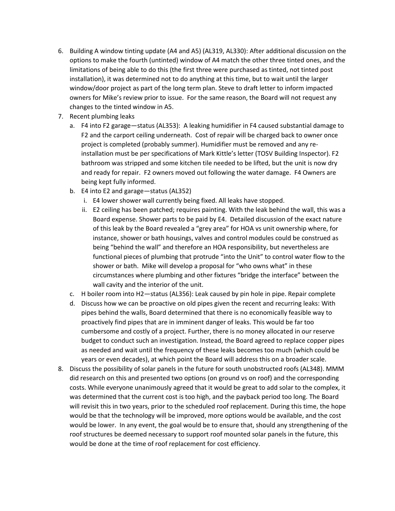- 6. Building A window tinting update (A4 and A5) (AL319, AL330): After additional discussion on the options to make the fourth (untinted) window of A4 match the other three tinted ones, and the limitations of being able to do this (the first three were purchased as tinted, not tinted post installation), it was determined not to do anything at this time, but to wait until the larger window/door project as part of the long term plan. Steve to draft letter to inform impacted owners for Mike's review prior to issue. For the same reason, the Board will not request any changes to the tinted window in A5.
- 7. Recent plumbing leaks
	- a. F4 into F2 garage—status (AL353): A leaking humidifier in F4 caused substantial damage to F2 and the carport ceiling underneath. Cost of repair will be charged back to owner once project is completed (probably summer). Humidifier must be removed and any reinstallation must be per specifications of Mark Kittle's letter (TOSV Building Inspector). F2 bathroom was stripped and some kitchen tile needed to be lifted, but the unit is now dry and ready for repair. F2 owners moved out following the water damage. F4 Owners are being kept fully informed.
	- b. E4 into E2 and garage—status (AL352)
		- i. E4 lower shower wall currently being fixed. All leaks have stopped.
		- ii. E2 ceiling has been patched; requires painting. With the leak behind the wall, this was a Board expense. Shower parts to be paid by E4. Detailed discussion of the exact nature of this leak by the Board revealed a "grey area" for HOA vs unit ownership where, for instance, shower or bath housings, valves and control modules could be construed as being "behind the wall" and therefore an HOA responsibility, but nevertheless are functional pieces of plumbing that protrude "into the Unit" to control water flow to the shower or bath. Mike will develop a proposal for "who owns what" in these circumstances where plumbing and other fixtures "bridge the interface" between the wall cavity and the interior of the unit.
	- c. H boiler room into H2—status (AL356): Leak caused by pin hole in pipe. Repair complete
	- d. Discuss how we can be proactive on old pipes given the recent and recurring leaks: With pipes behind the walls, Board determined that there is no economically feasible way to proactively find pipes that are in imminent danger of leaks. This would be far too cumbersome and costly of a project. Further, there is no money allocated in our reserve budget to conduct such an investigation. Instead, the Board agreed to replace copper pipes as needed and wait until the frequency of these leaks becomes too much (which could be years or even decades), at which point the Board will address this on a broader scale.
- 8. Discuss the possibility of solar panels in the future for south unobstructed roofs (AL348). MMM did research on this and presented two options (on ground vs on roof) and the corresponding costs. While everyone unanimously agreed that it would be great to add solar to the complex, it was determined that the current cost is too high, and the payback period too long. The Board will revisit this in two years, prior to the scheduled roof replacement. During this time, the hope would be that the technology will be improved, more options would be available, and the cost would be lower. In any event, the goal would be to ensure that, should any strengthening of the roof structures be deemed necessary to support roof mounted solar panels in the future, this would be done at the time of roof replacement for cost efficiency.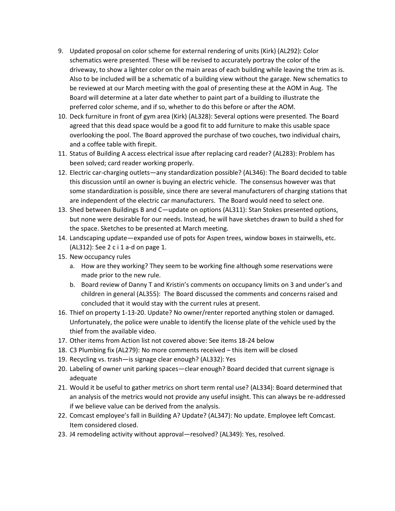- 9. Updated proposal on color scheme for external rendering of units (Kirk) (AL292): Color schematics were presented. These will be revised to accurately portray the color of the driveway, to show a lighter color on the main areas of each building while leaving the trim as is. Also to be included will be a schematic of a building view without the garage. New schematics to be reviewed at our March meeting with the goal of presenting these at the AOM in Aug. The Board will determine at a later date whether to paint part of a building to illustrate the preferred color scheme, and if so, whether to do this before or after the AOM.
- 10. Deck furniture in front of gym area (Kirk) (AL328): Several options were presented. The Board agreed that this dead space would be a good fit to add furniture to make this usable space overlooking the pool. The Board approved the purchase of two couches, two individual chairs, and a coffee table with firepit.
- 11. Status of Building A access electrical issue after replacing card reader? (AL283): Problem has been solved; card reader working properly.
- 12. Electric car-charging outlets—any standardization possible? (AL346): The Board decided to table this discussion until an owner is buying an electric vehicle. The consensus however was that some standardization is possible, since there are several manufacturers of charging stations that are independent of the electric car manufacturers. The Board would need to select one.
- 13. Shed between Buildings B and C—update on options (AL311): Stan Stokes presented options, but none were desirable for our needs. Instead, he will have sketches drawn to build a shed for the space. Sketches to be presented at March meeting.
- 14. Landscaping update—expanded use of pots for Aspen trees, window boxes in stairwells, etc. (AL312): See 2 c i 1 a-d on page 1.
- 15. New occupancy rules
	- a. How are they working? They seem to be working fine although some reservations were made prior to the new rule.
	- b. Board review of Danny T and Kristin's comments on occupancy limits on 3 and under's and children in general (AL355): The Board discussed the comments and concerns raised and concluded that it would stay with the current rules at present.
- 16. Thief on property 1-13-20. Update? No owner/renter reported anything stolen or damaged. Unfortunately, the police were unable to identify the license plate of the vehicle used by the thief from the available video.
- 17. Other items from Action list not covered above: See items 18-24 below
- 18. C3 Plumbing fix (AL279): No more comments received this item will be closed
- 19. Recycling vs. trash—is signage clear enough? (AL332): Yes
- 20. Labeling of owner unit parking spaces—clear enough? Board decided that current signage is adequate
- 21. Would it be useful to gather metrics on short term rental use? (AL334): Board determined that an analysis of the metrics would not provide any useful insight. This can always be re-addressed if we believe value can be derived from the analysis.
- 22. Comcast employee's fall in Building A? Update? (AL347): No update. Employee left Comcast. Item considered closed.
- 23. J4 remodeling activity without approval—resolved? (AL349): Yes, resolved.